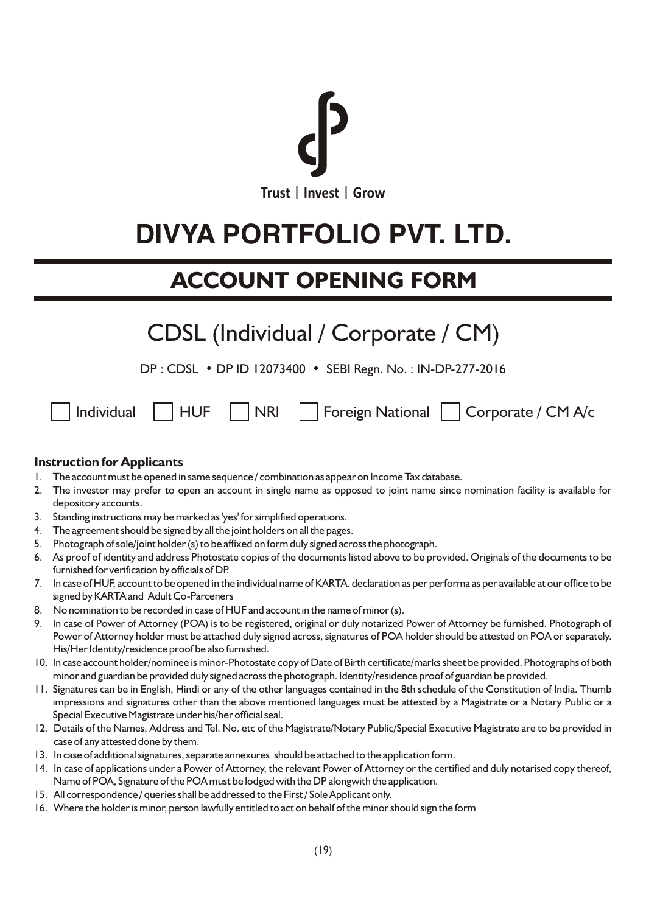

# **ACCOUNT OPENING FORM**

| CDSL (Individual / Corporate / CM)                               |  |  |  |  |  |  |  |
|------------------------------------------------------------------|--|--|--|--|--|--|--|
| DP: CDSL • DP ID 12073400 • SEBI Regn. No.: IN-DP-277-2016       |  |  |  |  |  |  |  |
| □ Individual □ HUF □ NRI □ Foreign National □ Corporate / CM A/c |  |  |  |  |  |  |  |

### **Instruction for Applicants**

- 1. The account must be opened in same sequence / combination as appear on Income Tax database.
- 2. The investor may prefer to open an account in single name as opposed to joint name since nomination facility is available for depository accounts.
- 3. Standing instructions may be marked as 'yes' for simplified operations.
- 4. The agreement should be signed by all the joint holders on all the pages.
- 5. Photograph of sole/joint holder (s) to be affixed on form duly signed across the photograph.
- 6. As proof of identity and address Photostate copies of the documents listed above to be provided. Originals of the documents to be furnished for verification by officials of DP.
- 7. In case of HUF, account to be opened in the individual name of KARTA. declaration as per performa as per available at our office to be signed by KARTA and Adult Co-Parceners
- 8. No nomination to be recorded in case of HUF and account in the name of minor (s).
- 9. In case of Power of Attorney (POA) is to be registered, original or duly notarized Power of Attorney be furnished. Photograph of Power of Attorney holder must be attached duly signed across, signatures of POA holder should be attested on POA or separately. His/Her Identity/residence proof be also furnished.
- 10. In case account holder/nominee is minor-Photostate copy of Date of Birth certificate/marks sheet be provided. Photographs of both minor and guardian be provided duly signed across the photograph. Identity/residence proof of guardian be provided.
- 11. Signatures can be in English, Hindi or any of the other languages contained in the 8th schedule of the Constitution of India. Thumb impressions and signatures other than the above mentioned languages must be attested by a Magistrate or a Notary Public or a Special Executive Magistrate under his/her official seal.
- 12. Details of the Names, Address and Tel. No. etc of the Magistrate/Notary Public/Special Executive Magistrate are to be provided in case of any attested done by them.
- 13. In case of additional signatures, separate annexures should be attached to the application form.
- 14. In case of applications under a Power of Attorney, the relevant Power of Attorney or the certified and duly notarised copy thereof, Name of POA, Signature of the POA must be lodged with the DP alongwith the application.
- 15. All correspondence / queries shall be addressed to the First / Sole Applicant only.
- 16. Where the holder is minor, person lawfully entitled to act on behalf of the minor should sign the form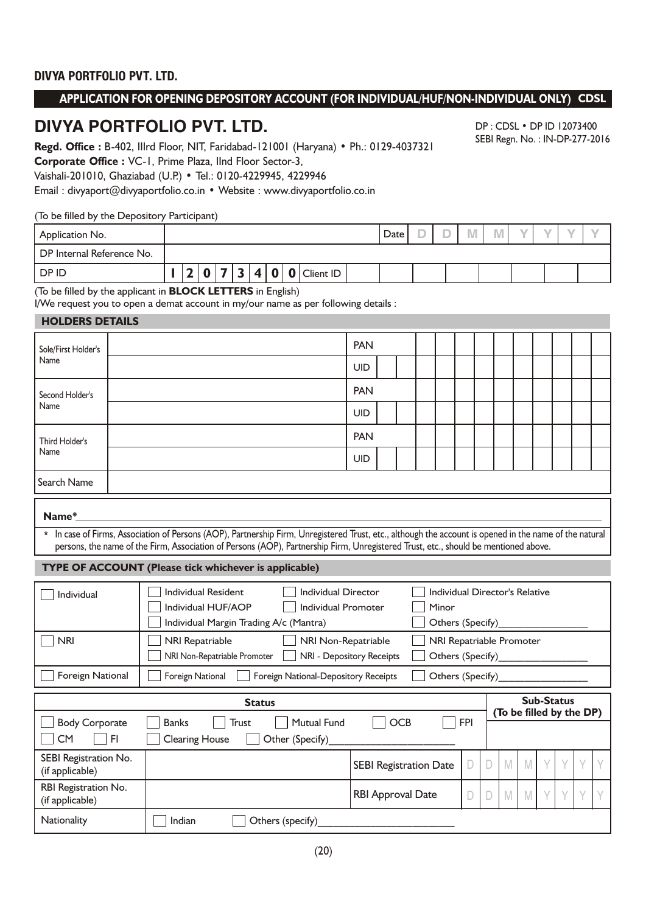#### **CDSL APPLICATION FOR OPENING DEPOSITORY ACCOUNT (FOR INDIVIDUAL/HUF/NON-INDIVIDUAL ONLY)**

# **DIVYA PORTFOLIO PVT. LTD.**

DP : CDSL • DP ID 12073400 SEBI Regn. No. : IN-DP-277-2016

**Regd. Office :** B-402, IIIrd Floor, NIT, Faridabad-121001 (Haryana) • Ph.: 0129-4037321

**Corporate Office :** VC-1, Prime Plaza, IInd Floor Sector-3,

Vaishali-201010, Ghaziabad (U.P.) **•** Tel.: 0120-4229945, 4229946

Email : divyaport@divyaportfolio.co.in **•** Website : www.divyaportfolio.co.in

#### (To be filled by the Depository Participant)

| Application No.           |   |  |          |          |                        | Date |  |  |  |  |
|---------------------------|---|--|----------|----------|------------------------|------|--|--|--|--|
| DP Internal Reference No. |   |  |          |          |                        |      |  |  |  |  |
| DP ID                     | o |  | $\Delta$ | $\bf{0}$ | $\mathbf{0}$ Client ID |      |  |  |  |  |

(To be filled by the applicant in **BLOCK LETTERS** in English)

I/We request you to open a demat account in my/our name as per following details :

#### **HOLDERS DETAILS**

| Sole/First Holder's<br>Name | PAN        |  |  |  |  |  |  |
|-----------------------------|------------|--|--|--|--|--|--|
|                             | <b>UID</b> |  |  |  |  |  |  |
| Second Holder's<br>Name     | <b>PAN</b> |  |  |  |  |  |  |
|                             | <b>UID</b> |  |  |  |  |  |  |
| Third Holder's<br>Name      | PAN        |  |  |  |  |  |  |
|                             | UID        |  |  |  |  |  |  |
| Search Name                 |            |  |  |  |  |  |  |

**Name\***

**\*** In case of Firms, Association of Persons (AOP), Partnership Firm, Unregistered Trust, etc., although the account is opened in the name of the natural persons, the name of the Firm, Association of Persons (AOP), Partnership Firm, Unregistered Trust, etc., should be mentioned above.

#### **TYPE OF ACCOUNT (Please tick whichever is applicable)**

| Individual                                                                                       | <b>Individual Resident</b><br><b>Individual Director</b><br>Individual HUF/AOP<br><b>Individual Promoter</b><br>Minor<br>Individual Margin Trading A/c (Mantra)<br>Others (Specify) |                                              |            |  | Individual Director's Relative |             |        |             |        |  |  |
|--------------------------------------------------------------------------------------------------|-------------------------------------------------------------------------------------------------------------------------------------------------------------------------------------|----------------------------------------------|------------|--|--------------------------------|-------------|--------|-------------|--------|--|--|
| <b>NRI</b>                                                                                       | NRI Non-Repatriable<br>NRI Repatriable<br>NRI Non-Repatriable Promoter<br>NRI - Depository Receipts                                                                                 | NRI Repatriable Promoter<br>Others (Specify) |            |  |                                |             |        |             |        |  |  |
| Foreign National<br>Foreign National<br>Foreign National-Depository Receipts<br>Others (Specify) |                                                                                                                                                                                     |                                              |            |  |                                |             |        |             |        |  |  |
| <b>Sub-Status</b><br><b>Status</b><br>(To be filled by the DP)                                   |                                                                                                                                                                                     |                                              |            |  |                                |             |        |             |        |  |  |
| <b>Body Corporate</b><br>CM<br><b>FI</b>                                                         | <b>Mutual Fund</b><br><b>Banks</b><br><b>Trust</b><br><b>Clearing House</b><br>Other (Specify)                                                                                      | <b>OCB</b>                                   | <b>FPI</b> |  |                                |             |        |             |        |  |  |
| SEBI Registration No.<br>(if applicable)                                                         |                                                                                                                                                                                     | <b>SEBI Registration Date</b>                |            |  |                                | M           | $\vee$ | $\setminus$ | $\vee$ |  |  |
| RBI Registration No.<br>(if applicable)                                                          |                                                                                                                                                                                     | <b>RBI Approval Date</b>                     |            |  | M                              | $\mathbb M$ | $\vee$ | $\sqrt{}$   | $\vee$ |  |  |
| Nationality                                                                                      | Indian<br>Others (specify)                                                                                                                                                          |                                              |            |  |                                |             |        |             |        |  |  |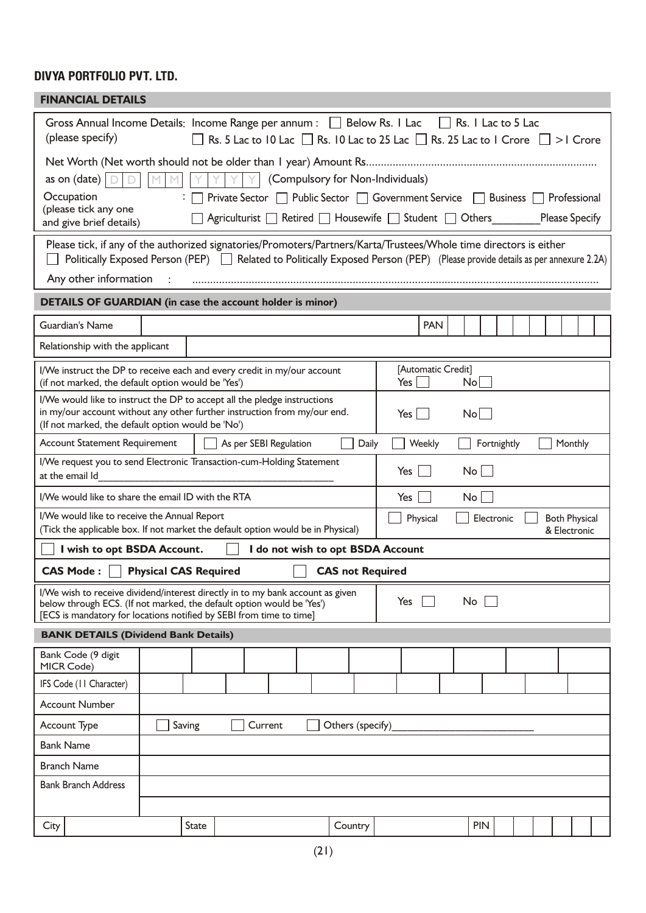| <b>FINANCIAL DETAILS</b>                                                                                                                                                                                                                                                                              |                                                                                                                                                                                                                                |                                                                                                                    |  |  |  |  |  |
|-------------------------------------------------------------------------------------------------------------------------------------------------------------------------------------------------------------------------------------------------------------------------------------------------------|--------------------------------------------------------------------------------------------------------------------------------------------------------------------------------------------------------------------------------|--------------------------------------------------------------------------------------------------------------------|--|--|--|--|--|
| (please specify)                                                                                                                                                                                                                                                                                      | Gross Annual Income Details: Income Range per annum : $\Box$ Below Rs. I Lac $\Box$                                                                                                                                            | Rs. 1 Lac to 5 Lac<br>Rs. 5 Lac to 10 Lac $\Box$ Rs. 10 Lac to 25 Lac $\Box$ Rs. 25 Lac to 1 Crore $\Box$ >1 Crore |  |  |  |  |  |
| as on $(data)$<br>(Compulsory for Non-Individuals)<br>$\Box$<br>Y.<br>D<br>Occupation<br>Private Sector   Public Sector   Government Service   Business  <br>Professional<br>(please tick any one<br>Agriculturist Retired Rusewife Student Chers<br><b>Please Specify</b><br>and give brief details) |                                                                                                                                                                                                                                |                                                                                                                    |  |  |  |  |  |
| Please tick, if any of the authorized signatories/Promoters/Partners/Karta/Trustees/Whole time directors is either<br>Politically Exposed Person (PEP)<br>Related to Politically Exposed Person (PEP) (Please provide details as per annexure 2.2A)<br>Any other information                          |                                                                                                                                                                                                                                |                                                                                                                    |  |  |  |  |  |
|                                                                                                                                                                                                                                                                                                       | <b>DETAILS OF GUARDIAN (in case the account holder is minor)</b>                                                                                                                                                               |                                                                                                                    |  |  |  |  |  |
| Guardian's Name                                                                                                                                                                                                                                                                                       |                                                                                                                                                                                                                                | <b>PAN</b>                                                                                                         |  |  |  |  |  |
| Relationship with the applicant                                                                                                                                                                                                                                                                       |                                                                                                                                                                                                                                |                                                                                                                    |  |  |  |  |  |
|                                                                                                                                                                                                                                                                                                       | I/We instruct the DP to receive each and every credit in my/our account<br>(if not marked, the default option would be 'Yes')                                                                                                  | [Automatic Credit]<br>No<br>Yes                                                                                    |  |  |  |  |  |
| I/We would like to instruct the DP to accept all the pledge instructions<br>in my/our account without any other further instruction from my/our end.<br>Yes<br>No<br>(If not marked, the default option would be 'No')                                                                                |                                                                                                                                                                                                                                |                                                                                                                    |  |  |  |  |  |
|                                                                                                                                                                                                                                                                                                       | Account Statement Requirement<br>As per SEBI Regulation<br>Daily<br>Weekly<br>Fortnightly<br>Monthly                                                                                                                           |                                                                                                                    |  |  |  |  |  |
| I/We request you to send Electronic Transaction-cum-Holding Statement<br>No <sub>1</sub><br>Yes<br>at the email Id                                                                                                                                                                                    |                                                                                                                                                                                                                                |                                                                                                                    |  |  |  |  |  |
|                                                                                                                                                                                                                                                                                                       | I/We would like to share the email ID with the RTA                                                                                                                                                                             | No <sub>1</sub><br>Yes                                                                                             |  |  |  |  |  |
| I/We would like to receive the Annual Report                                                                                                                                                                                                                                                          | (Tick the applicable box. If not market the default option would be in Physical)                                                                                                                                               | Electronic<br>Physical<br><b>Both Physical</b><br>& Electronic                                                     |  |  |  |  |  |
| I wish to opt BSDA Account.                                                                                                                                                                                                                                                                           | I do not wish to opt BSDA Account                                                                                                                                                                                              |                                                                                                                    |  |  |  |  |  |
| <b>CAS Mode:</b>                                                                                                                                                                                                                                                                                      | <b>Physical CAS Required</b><br><b>CAS not Required</b>                                                                                                                                                                        |                                                                                                                    |  |  |  |  |  |
|                                                                                                                                                                                                                                                                                                       | I/We wish to receive dividend/interest directly in to my bank account as given<br>below through ECS. (If not marked, the default option would be 'Yes')<br>[ECS is mandatory for locations notified by SEBI from time to time] | No<br>Yes                                                                                                          |  |  |  |  |  |
| <b>BANK DETAILS (Dividend Bank Details)</b>                                                                                                                                                                                                                                                           |                                                                                                                                                                                                                                |                                                                                                                    |  |  |  |  |  |
| Bank Code (9 digit<br>MICR Code)                                                                                                                                                                                                                                                                      |                                                                                                                                                                                                                                |                                                                                                                    |  |  |  |  |  |
| IFS Code (11 Character)                                                                                                                                                                                                                                                                               |                                                                                                                                                                                                                                |                                                                                                                    |  |  |  |  |  |
| <b>Account Number</b>                                                                                                                                                                                                                                                                                 |                                                                                                                                                                                                                                |                                                                                                                    |  |  |  |  |  |
| <b>Account Type</b><br>Saving<br>Current<br>Others (specify)                                                                                                                                                                                                                                          |                                                                                                                                                                                                                                |                                                                                                                    |  |  |  |  |  |
| <b>Bank Name</b>                                                                                                                                                                                                                                                                                      |                                                                                                                                                                                                                                |                                                                                                                    |  |  |  |  |  |
| <b>Branch Name</b>                                                                                                                                                                                                                                                                                    |                                                                                                                                                                                                                                |                                                                                                                    |  |  |  |  |  |
| <b>Bank Branch Address</b>                                                                                                                                                                                                                                                                            |                                                                                                                                                                                                                                |                                                                                                                    |  |  |  |  |  |
| City                                                                                                                                                                                                                                                                                                  | <b>State</b><br>Country                                                                                                                                                                                                        | <b>PIN</b>                                                                                                         |  |  |  |  |  |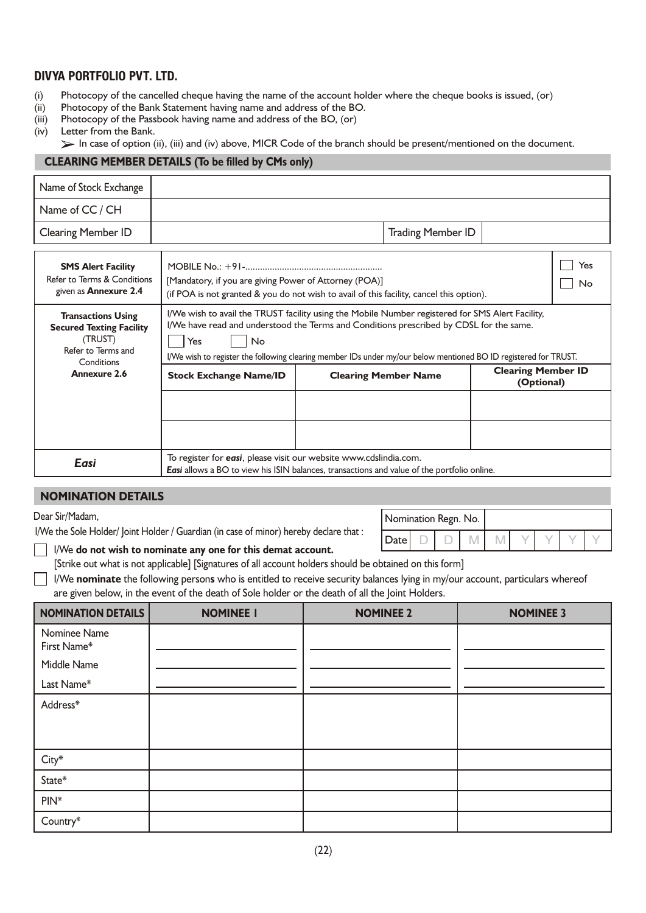- Photocopy of the cancelled cheque having the name of the account holder where the cheque books is issued, (or) (i)
- Photocopy of the Bank Statement having name and address of the BO. (ii)
- Photocopy of the Passbook having name and address of the BO, (or) (iii)
- Letter from the Bank. (iv)
	- In case of option (ii), (iii) and (iv) above, MICR Code of the branch should be present/mentioned on the document.

#### **CLEARING MEMBER DETAILS (To be filled by CMs only)**

| Name of Stock Exchange                                                                                      |                                                                                                                                                                                                                                                                                                                              |                                                                                                                                                                 |                             |                                         |  |  |  |  |
|-------------------------------------------------------------------------------------------------------------|------------------------------------------------------------------------------------------------------------------------------------------------------------------------------------------------------------------------------------------------------------------------------------------------------------------------------|-----------------------------------------------------------------------------------------------------------------------------------------------------------------|-----------------------------|-----------------------------------------|--|--|--|--|
| Name of CC / CH                                                                                             |                                                                                                                                                                                                                                                                                                                              |                                                                                                                                                                 |                             |                                         |  |  |  |  |
| <b>Clearing Member ID</b>                                                                                   |                                                                                                                                                                                                                                                                                                                              |                                                                                                                                                                 | <b>Trading Member ID</b>    |                                         |  |  |  |  |
| <b>SMS Alert Facility</b><br>Refer to Terms & Conditions<br>given as <b>Annexure 2.4</b>                    |                                                                                                                                                                                                                                                                                                                              | Yes<br>[Mandatory, if you are giving Power of Attorney (POA)]<br>No<br>(if POA is not granted & you do not wish to avail of this facility, cancel this option). |                             |                                         |  |  |  |  |
| <b>Transactions Using</b><br><b>Secured Texting Facility</b><br>(TRUST)<br>Refer to Terms and<br>Conditions | I/We wish to avail the TRUST facility using the Mobile Number registered for SMS Alert Facility,<br>I/We have read and understood the Terms and Conditions prescribed by CDSL for the same.<br>Yes<br>No<br>I/We wish to register the following clearing member IDs under my/our below mentioned BO ID registered for TRUST. |                                                                                                                                                                 |                             |                                         |  |  |  |  |
| Annexure 2.6                                                                                                | <b>Stock Exchange Name/ID</b>                                                                                                                                                                                                                                                                                                |                                                                                                                                                                 | <b>Clearing Member Name</b> | <b>Clearing Member ID</b><br>(Optional) |  |  |  |  |
|                                                                                                             |                                                                                                                                                                                                                                                                                                                              |                                                                                                                                                                 |                             |                                         |  |  |  |  |
|                                                                                                             |                                                                                                                                                                                                                                                                                                                              |                                                                                                                                                                 |                             |                                         |  |  |  |  |
| Easi                                                                                                        | To register for easi, please visit our website www.cdslindia.com.<br><b>Easi</b> allows a BO to view his ISIN balances, transactions and value of the portfolio online.                                                                                                                                                      |                                                                                                                                                                 |                             |                                         |  |  |  |  |

#### **NOMINATION DETAILS**

Dear Sir/Madam,

I/We the Sole Holder/ Joint Holder / Guardian (in case of minor) hereby declare that

| Nomination Regn. No. |  |  |  |  |
|----------------------|--|--|--|--|
| Date                 |  |  |  |  |

I/We **do not wish to nominate any one for this demat account.** [Strike out what is not applicable] [Signatures of all account holders should be obtained on this form]

I/We **nominate** the following person**s** who is entitled to receive security balances lying in my/our account, particulars whereof are given below, in the event of the death of Sole holder or the death of all the Joint Holders.

| NOMINATION DETAILS          | <b>NOMINEE I</b> | <b>NOMINEE 2</b> | <b>NOMINEE 3</b> |
|-----------------------------|------------------|------------------|------------------|
| Nominee Name<br>First Name* |                  |                  |                  |
| Middle Name                 |                  |                  |                  |
| Last Name*                  |                  |                  |                  |
| Address*                    |                  |                  |                  |
| $City*$                     |                  |                  |                  |
| State*                      |                  |                  |                  |
| PIN <sup>*</sup>            |                  |                  |                  |
| Country*                    |                  |                  |                  |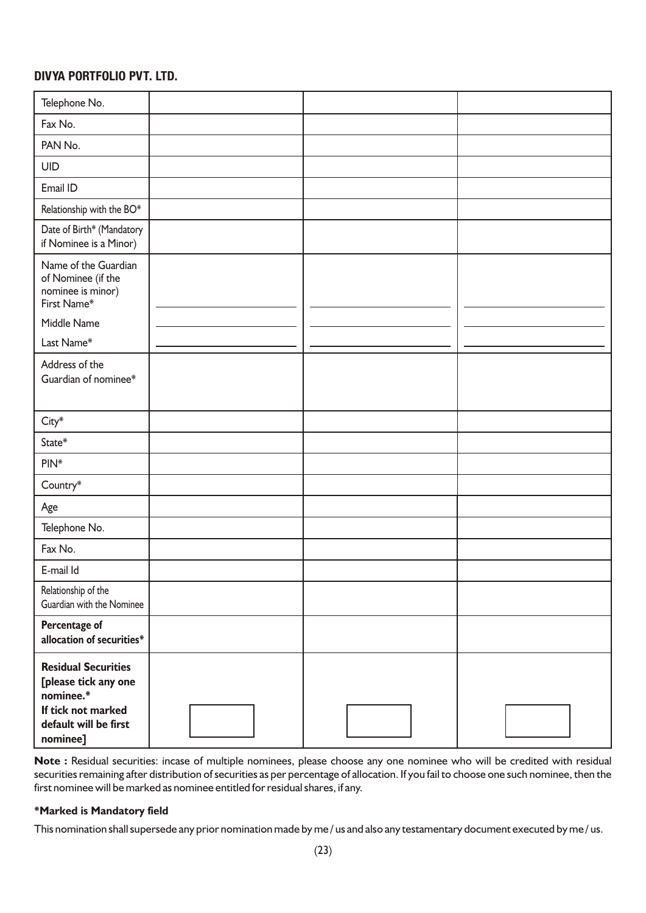| Telephone No.                                                                                                  |  |  |
|----------------------------------------------------------------------------------------------------------------|--|--|
| Fax No.                                                                                                        |  |  |
| PAN No.                                                                                                        |  |  |
| <b>UID</b>                                                                                                     |  |  |
| Email ID                                                                                                       |  |  |
| Relationship with the BO*                                                                                      |  |  |
| Date of Birth* (Mandatory<br>if Nominee is a Minor)                                                            |  |  |
| Name of the Guardian<br>of Nominee (if the<br>nominee is minor)<br>First Name*                                 |  |  |
| Middle Name                                                                                                    |  |  |
| Last Name*                                                                                                     |  |  |
| Address of the<br>Guardian of nominee*                                                                         |  |  |
| City*                                                                                                          |  |  |
| $\mathsf{State}^*$                                                                                             |  |  |
| PIN <sup>*</sup>                                                                                               |  |  |
| Country*                                                                                                       |  |  |
| Age                                                                                                            |  |  |
| Telephone No.                                                                                                  |  |  |
| Fax No.                                                                                                        |  |  |
| E-mail Id                                                                                                      |  |  |
| Relationship of the<br>Guardian with the Nominee                                                               |  |  |
| Percentage of<br>allocation of securities*                                                                     |  |  |
| <b>Residual Securities</b><br>[please tick any one<br>nominee.*<br>If tick not marked<br>default will be first |  |  |
| nominee]                                                                                                       |  |  |

Note : Residual securities: incase of multiple nominees, please choose any one nominee who will be credited with residual securities remaining after distribution of securities as per percentage of allocation. If you fail to choose one such nominee, then the first nominee will be marked as nominee entitled for residual shares, if any.

#### **\*Marked is Mandatory field**

This nomination shall supersede any prior nomination made by me / us and also any testamentary document executed by me / us.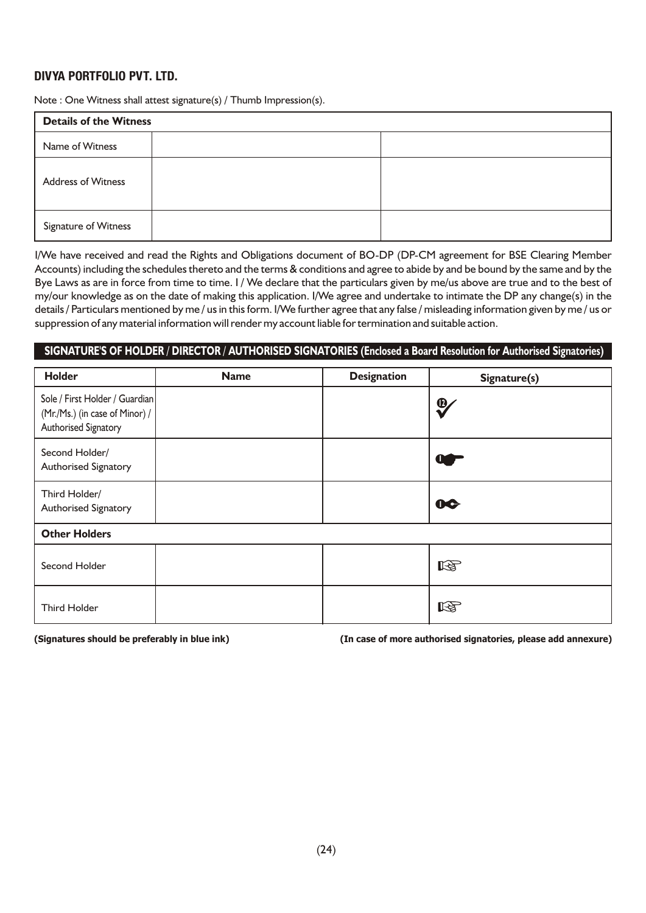Note : One Witness shall attest signature(s) / Thumb Impression(s).

| <b>Details of the Witness</b> |  |  |  |  |  |  |
|-------------------------------|--|--|--|--|--|--|
| Name of Witness               |  |  |  |  |  |  |
| <b>Address of Witness</b>     |  |  |  |  |  |  |
| Signature of Witness          |  |  |  |  |  |  |

I/We have received and read the Rights and Obligations document of BO-DP (DP-CM agreement for BSE Clearing Member Accounts) including the schedules thereto and the terms & conditions and agree to abide by and be bound by the same and by the Bye Laws as are in force from time to time. I / We declare that the particulars given by me/us above are true and to the best of my/our knowledge as on the date of making this application. I/We agree and undertake to intimate the DP any change(s) in the details / Particulars mentioned by me / us in this form. I/We further agree that any false / misleading information given by me / us or suppression of any material information will render my account liable for termination and suitable action.

#### SIGNATURE'S OF HOLDER / DIRECTOR / AUTHORISED SIGNATORIES (Enclosed a Board Resolution for Authorised Signatories)

| <b>Holder</b>                                                                            | <b>Name</b> | <b>Designation</b> | Signature(s) |
|------------------------------------------------------------------------------------------|-------------|--------------------|--------------|
| Sole / First Holder / Guardian<br>(Mr./Ms.) (in case of Minor) /<br>Authorised Signatory |             |                    | $\mathbf{Q}$ |
| Second Holder/<br>Authorised Signatory                                                   |             |                    | <b>a</b>     |
| Third Holder/<br>Authorised Signatory                                                    |             |                    | $\bullet$    |
| <b>Other Holders</b>                                                                     |             |                    |              |
| Second Holder                                                                            |             |                    | <b>KA</b>    |
| <b>Third Holder</b>                                                                      |             |                    | 隐            |

**(Signatures should be preferably in blue ink) (In case of more authorised signatories, please add annexure)**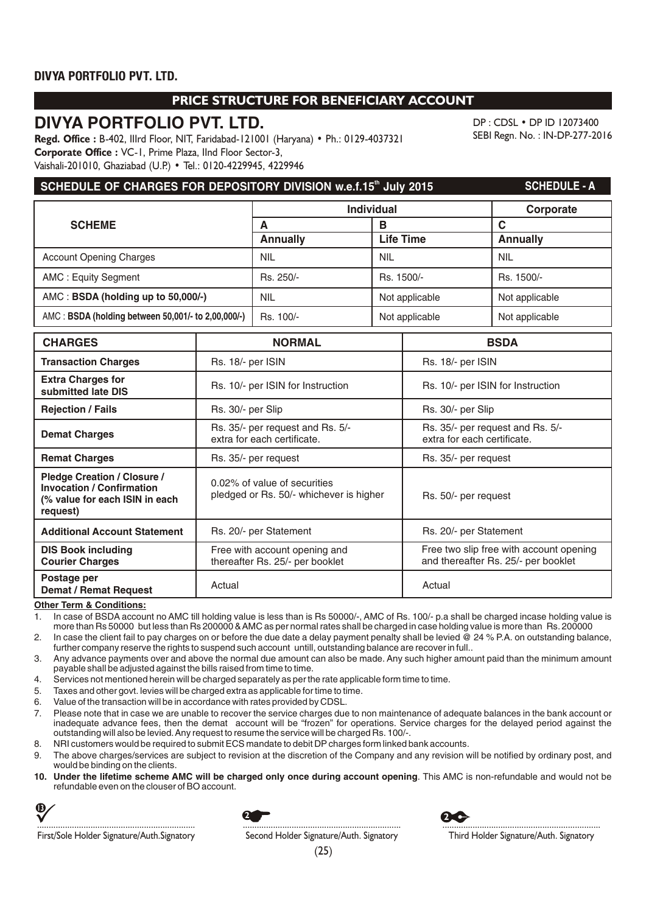### **PRICE STRUCTURE FOR BENEFICIARY ACCOUNT**

# **DIVYA PORTFOLIO PVT. LTD.**

**Regd. Office :** B-402, IIIrd Floor, NIT, Faridabad-121001 (Haryana) • Ph.: 0129-4037321

DP : CDSL • DP ID 12073400 SEBI Regn. No. : IN-DP-277-2016

**Corporate Office :** VC-1, Prime Plaza, IInd Floor Sector-3, Vaishali-201010, Ghaziabad (U.P.) **•** Tel.: 0120-4229945, 4229946

| SCHEDULE OF CHARGES FOR DEPOSITORY DIVISION w.e.f.15 <sup>th</sup> July 2015 | <b>SCHEDULE - A</b> |                   |                 |  |  |
|------------------------------------------------------------------------------|---------------------|-------------------|-----------------|--|--|
|                                                                              |                     | <b>Individual</b> | Corporate       |  |  |
| <b>SCHEME</b>                                                                | А                   | в                 | C               |  |  |
|                                                                              | <b>Annually</b>     | <b>Life Time</b>  | <b>Annually</b> |  |  |
| <b>Account Opening Charges</b>                                               | <b>NIL</b>          | NIL               | <b>NIL</b>      |  |  |
| AMC: Equity Segment                                                          | Rs. 250/-           | Rs. 1500/-        | Rs. 1500/-      |  |  |
| AMC: BSDA (holding up to 50,000/-)                                           | <b>NIL</b>          | Not applicable    | Not applicable  |  |  |
| AMC: BSDA (holding between 50,001/- to 2,00,000/-)                           | Rs. 100/-           | Not applicable    | Not applicable  |  |  |

| <b>CHARGES</b>                                                                                                       | <b>NORMAL</b>                                                           | <b>BSDA</b>                                                                    |  |  |  |
|----------------------------------------------------------------------------------------------------------------------|-------------------------------------------------------------------------|--------------------------------------------------------------------------------|--|--|--|
| <b>Transaction Charges</b>                                                                                           | Rs. 18/- per ISIN                                                       | Rs. 18/- per ISIN                                                              |  |  |  |
| <b>Extra Charges for</b><br>submitted late DIS                                                                       | Rs. 10/- per ISIN for Instruction                                       | Rs. 10/- per ISIN for Instruction                                              |  |  |  |
| <b>Rejection / Fails</b>                                                                                             | Rs. 30/- per Slip                                                       | Rs. 30/- per Slip                                                              |  |  |  |
| <b>Demat Charges</b>                                                                                                 | Rs. 35/- per request and Rs. 5/-<br>extra for each certificate.         | Rs. 35/- per request and Rs. 5/-<br>extra for each certificate.                |  |  |  |
| <b>Remat Charges</b>                                                                                                 | Rs. 35/- per request                                                    | Rs. 35/- per request                                                           |  |  |  |
| <b>Pledge Creation / Closure /</b><br><b>Invocation / Confirmation</b><br>(% value for each ISIN in each<br>request) | 0.02% of value of securities<br>pledged or Rs. 50/- whichever is higher | Rs. 50/- per request                                                           |  |  |  |
| <b>Additional Account Statement</b>                                                                                  | Rs. 20/- per Statement                                                  | Rs. 20/- per Statement                                                         |  |  |  |
| <b>DIS Book including</b><br><b>Courier Charges</b>                                                                  | Free with account opening and<br>thereafter Rs. 25/- per booklet        | Free two slip free with account opening<br>and thereafter Rs. 25/- per booklet |  |  |  |
| Postage per<br>Actual<br><b>Demat / Remat Request</b>                                                                |                                                                         | Actual                                                                         |  |  |  |

#### **Other Term & Conditions:**

1. In case of BSDA account no AMC till holding value is less than is Rs 50000/-, AMC of Rs. 100/- p.a shall be charged incase holding value is more than Rs 50000 but less than Rs 200000 & AMC as per normal rates shall be charged in case holding value is more than Rs. 200000

. further company reserve the rights to suspend such account untill, outstanding balance are recover in full. 2. In case the client fail to pay charges on or before the due date a delay payment penalty shall be levied @ 24 % P.A. on outstanding balance.

3. Any advance payments over and above the normal due amount can also be made. Any such higher amount paid than the minimum amount payable shall be adjusted against the bills raised from time to time.

- 4. Services not mentioned herein will be charged separately as per the rate applicable form time to time.
- 5. Taxes and other govt. levies will be charged extra as applicable for time to time.
- 6. Value of the transaction will be in accordance with rates provided by CDSL.
- 7. Please note that in case we are unable to recover the service charges due to non maintenance of adequate balances in the bank account or inadequate advance fees, then the demat account will be "frozen" for operations. Service charges for the delayed period against the outstanding will also be levied. Any request to resume the service will be charged Rs. 100/-.
- 8. NRI customers would be required to submit ECS mandate to debit DPcharges form linked bank accounts.
- 9. The above charges/services are subject to revision at the discretion of the Company and any revision will be notified by ordinary post, and would be binding on the clients.
- **10. Under the lifetime scheme AMC will be charged only once during account opening**. This AMC is non-refundable and would not be refundable even on the clouser of BO account.



First/Sole Holder Signature/Auth.Signatory





Third Holder Signature/Auth. Signatory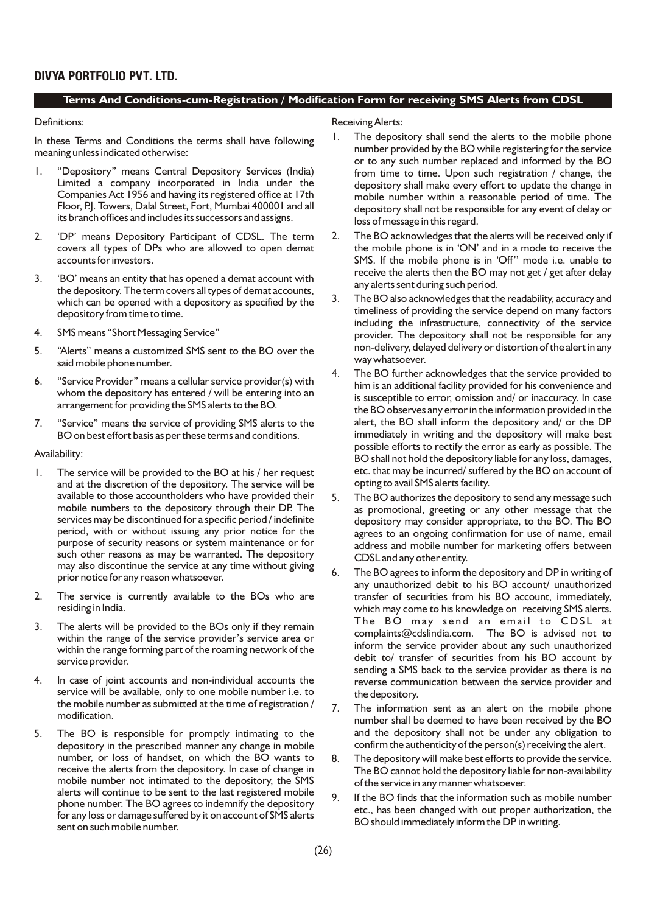#### **Terms And Conditions-cum-Registration / Modification Form for receiving SMS Alerts from CDSL**

#### Definitions:

In these Terms and Conditions the terms shall have following meaning unless indicated otherwise:

- 1. "Depository" means Central Depository Services (India) Limited a company incorporated in India under the Companies Act 1956 and having its registered office at 17th Floor, P.J. Towers, Dalal Street, Fort, Mumbai 400001 and all its branch offices and includes its successors and assigns.
- 2. 'DP' means Depository Participant of CDSL. The term covers all types of DPs who are allowed to open demat accounts for investors.
- 3. 'BO' means an entity that has opened a demat account with the depository. The term covers all types of demat accounts, which can be opened with a depository as specified by the depository from time to time.
- 4. SMS means "Short Messaging Service"
- 5. "Alerts" means a customized SMS sent to the BO over the said mobile phone number.
- 6. "Service Provider" means a cellular service provider(s) with whom the depository has entered / will be entering into an arrangement for providing the SMS alerts to the BO.
- 7. "Service" means the service of providing SMS alerts to the BO on best effort basis as per these terms and conditions.

#### Availability:

- 1. The service will be provided to the BO at his / her request and at the discretion of the depository. The service will be available to those accountholders who have provided their mobile numbers to the depository through their DP. The services may be discontinued for a specific period / indefinite period, with or without issuing any prior notice for the purpose of security reasons or system maintenance or for such other reasons as may be warranted. The depository may also discontinue the service at any time without giving prior notice for any reason whatsoever.
- 2. The service is currently available to the BOs who are residing in India.
- 3. The alerts will be provided to the BOs only if they remain within the range of the service provider's service area or within the range forming part of the roaming network of the service provider.
- 4. In case of joint accounts and non-individual accounts the service will be available, only to one mobile number i.e. to the mobile number as submitted at the time of registration / modification.
- 5. The BO is responsible for promptly intimating to the depository in the prescribed manner any change in mobile number, or loss of handset, on which the BO wants to receive the alerts from the depository. In case of change in mobile number not intimated to the depository, the SMS alerts will continue to be sent to the last registered mobile phone number. The BO agrees to indemnify the depository for any loss or damage suffered by it on account of SMS alerts sent on such mobile number.

#### Receiving Alerts:

- The depository shall send the alerts to the mobile phone number provided by the BO while registering for the service or to any such number replaced and informed by the BO from time to time. Upon such registration / change, the depository shall make every effort to update the change in mobile number within a reasonable period of time. The depository shall not be responsible for any event of delay or loss of message in this regard.
- 2. The BO acknowledges that the alerts will be received only if the mobile phone is in 'ON' and in a mode to receive the SMS. If the mobile phone is in 'Off'' mode i.e. unable to receive the alerts then the BO may not get / get after delay any alerts sent during such period.
- 3. The BO also acknowledges that the readability, accuracy and timeliness of providing the service depend on many factors including the infrastructure, connectivity of the service provider. The depository shall not be responsible for any non-delivery, delayed delivery or distortion of the alert in any way whatsoever.
- 4. The BO further acknowledges that the service provided to him is an additional facility provided for his convenience and is susceptible to error, omission and/ or inaccuracy. In case the BO observes any error in the information provided in the alert, the BO shall inform the depository and/ or the DP immediately in writing and the depository will make best possible efforts to rectify the error as early as possible. The BO shall not hold the depository liable for any loss, damages, etc. that may be incurred/ suffered by the BO on account of opting to avail SMS alerts facility.
- 5. The BO authorizes the depository to send any message such as promotional, greeting or any other message that the depository may consider appropriate, to the BO. The BO agrees to an ongoing confirmation for use of name, email address and mobile number for marketing offers between CDSL and any other entity.
- 6. The BO agrees to inform the depository and DP in writing of any unauthorized debit to his BO account/ unauthorized transfer of securities from his BO account, immediately, which may come to his knowledge on receiving SMS alerts. The BO may send an email to CDSL at complaints@cdslindia.com. The BO is advised not to inform the service provider about any such unauthorized debit to/ transfer of securities from his BO account by sending a SMS back to the service provider as there is no reverse communication between the service provider and the depository.
- 7. The information sent as an alert on the mobile phone number shall be deemed to have been received by the BO and the depository shall not be under any obligation to confirm the authenticity of the person(s) receiving the alert.
- 8. The depository will make best efforts to provide the service. The BO cannot hold the depository liable for non-availability of the service in any manner whatsoever.
- 9. If the BO finds that the information such as mobile number etc., has been changed with out proper authorization, the BO should immediately inform the DP in writing.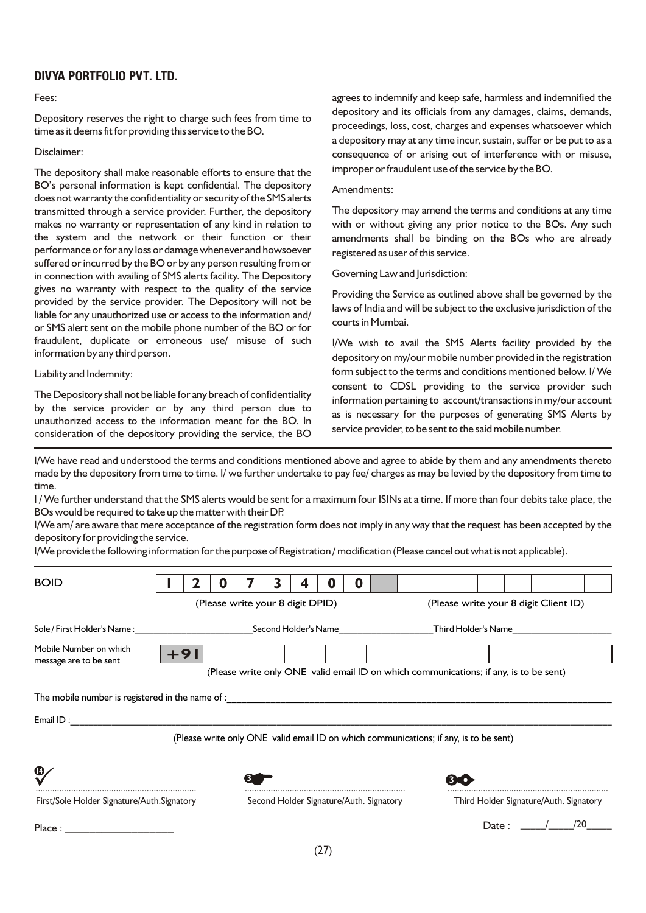#### Fees:

Depository reserves the right to charge such fees from time to time as it deems fit for providing this service to the BO.

#### Disclaimer:

The depository shall make reasonable efforts to ensure that the BO's personal information is kept confidential. The depository does not warranty the confidentiality or security of the SMS alerts transmitted through a service provider. Further, the depository makes no warranty or representation of any kind in relation to the system and the network or their function or their performance or for any loss or damage whenever and howsoever suffered or incurred by the BO or by any person resulting from or in connection with availing of SMS alerts facility. The Depository gives no warranty with respect to the quality of the service provided by the service provider. The Depository will not be liable for any unauthorized use or access to the information and/ or SMS alert sent on the mobile phone number of the BO or for fraudulent, duplicate or erroneous use/ misuse of such information by any third person.

#### Liability and Indemnity:

The Depository shall not be liable for any breach of confidentiality by the service provider or by any third person due to unauthorized access to the information meant for the BO. In consideration of the depository providing the service, the BO

agrees to indemnify and keep safe, harmless and indemnified the depository and its officials from any damages, claims, demands, proceedings, loss, cost, charges and expenses whatsoever which a depository may at any time incur, sustain, suffer or be put to as a consequence of or arising out of interference with or misuse, improper or fraudulent use of the service by the BO.

#### Amendments:

The depository may amend the terms and conditions at any time with or without giving any prior notice to the BOs. Any such amendments shall be binding on the BOs who are already registered as user of this service.

Governing Law and Jurisdiction:

Providing the Service as outlined above shall be governed by the laws of India and will be subject to the exclusive jurisdiction of the courts in Mumbai.

I/We wish to avail the SMS Alerts facility provided by the depository on my/our mobile number provided in the registration form subject to the terms and conditions mentioned below. I/ We consent to CDSL providing to the service provider such information pertaining to account/transactions in my/our account as is necessary for the purposes of generating SMS Alerts by service provider, to be sent to the said mobile number.

I/We have read and understood the terms and conditions mentioned above and agree to abide by them and any amendments thereto made by the depository from time to time. I/ we further undertake to pay fee/ charges as may be levied by the depository from time to time.

I / We further understand that the SMS alerts would be sent for a maximum four ISINs at a time. If more than four debits take place, the BOs would be required to take up the matter with their DP.

I/We am/ are aware that mere acceptance of the registration form does not imply in any way that the request has been accepted by the depository for providing the service.

I/We provide the following information for the purpose of Registration / modification (Please cancel out what is not applicable).

| <b>BOID</b>                                                                                                                     |                                                                             |  | O |  |  |  | O | 0                                     |                                                                                       |  |  |  |                  |     |  |
|---------------------------------------------------------------------------------------------------------------------------------|-----------------------------------------------------------------------------|--|---|--|--|--|---|---------------------------------------|---------------------------------------------------------------------------------------|--|--|--|------------------|-----|--|
| (Please write your 8 digit DPID)                                                                                                |                                                                             |  |   |  |  |  |   | (Please write your 8 digit Client ID) |                                                                                       |  |  |  |                  |     |  |
|                                                                                                                                 | Sole / First Holder's Name :<br>Second Holder's Name<br>Third Holder's Name |  |   |  |  |  |   |                                       |                                                                                       |  |  |  |                  |     |  |
| Mobile Number on which<br>$+91$<br>message are to be sent                                                                       |                                                                             |  |   |  |  |  |   |                                       |                                                                                       |  |  |  |                  |     |  |
|                                                                                                                                 |                                                                             |  |   |  |  |  |   |                                       | (Please write only ONE valid email ID on which communications; if any, is to be sent) |  |  |  |                  |     |  |
| The mobile number is registered in the name of :                                                                                |                                                                             |  |   |  |  |  |   |                                       |                                                                                       |  |  |  |                  |     |  |
| Email ID:                                                                                                                       |                                                                             |  |   |  |  |  |   |                                       |                                                                                       |  |  |  |                  |     |  |
|                                                                                                                                 |                                                                             |  |   |  |  |  |   |                                       | (Please write only ONE valid email ID on which communications; if any, is to be sent) |  |  |  |                  |     |  |
| $\pmb{\mathbb{V}}$                                                                                                              |                                                                             |  |   |  |  |  |   |                                       |                                                                                       |  |  |  |                  |     |  |
| First/Sole Holder Signature/Auth.Signatory<br>Third Holder Signature/Auth. Signatory<br>Second Holder Signature/Auth. Signatory |                                                                             |  |   |  |  |  |   |                                       |                                                                                       |  |  |  |                  |     |  |
| Place:                                                                                                                          |                                                                             |  |   |  |  |  |   |                                       |                                                                                       |  |  |  | Date: $\sqrt{2}$ | /20 |  |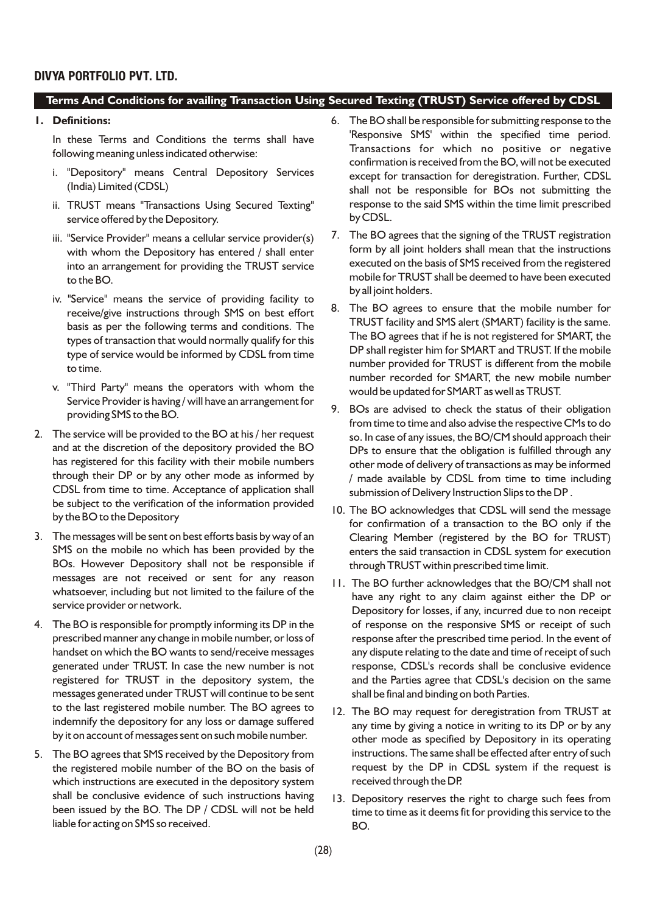#### **Terms And Conditions for availing Transaction Using Secured Texting (TRUST) Service offered by CDSL**

#### **1. Definitions:**

In these Terms and Conditions the terms shall have following meaning unless indicated otherwise:

- i. "Depository" means Central Depository Services (India) Limited (CDSL)
- ii. TRUST means "Transactions Using Secured Texting" service offered by the Depository.
- iii. "Service Provider" means a cellular service provider(s) with whom the Depository has entered / shall enter into an arrangement for providing the TRUST service to the BO.
- iv. "Service" means the service of providing facility to receive/give instructions through SMS on best effort basis as per the following terms and conditions. The types of transaction that would normally qualify for this type of service would be informed by CDSL from time to time.
- v. "Third Party" means the operators with whom the Service Provider is having / will have an arrangement for providing SMS to the BO.
- 2. The service will be provided to the BO at his / her request and at the discretion of the depository provided the BO has registered for this facility with their mobile numbers through their DP or by any other mode as informed by CDSL from time to time. Acceptance of application shall be subject to the verification of the information provided by the BO to the Depository
- 3. The messages will be sent on best efforts basis by way of an SMS on the mobile no which has been provided by the BOs. However Depository shall not be responsible if messages are not received or sent for any reason whatsoever, including but not limited to the failure of the service provider or network.
- 4. The BO is responsible for promptly informing its DP in the prescribed manner any change in mobile number, or loss of handset on which the BO wants to send/receive messages generated under TRUST. In case the new number is not registered for TRUST in the depository system, the messages generated under TRUST will continue to be sent to the last registered mobile number. The BO agrees to indemnify the depository for any loss or damage suffered by it on account of messages sent on such mobile number.
- 5. The BO agrees that SMS received by the Depository from the registered mobile number of the BO on the basis of which instructions are executed in the depository system shall be conclusive evidence of such instructions having been issued by the BO. The DP / CDSL will not be held liable for acting on SMS so received.
- 6. The BO shall be responsible for submitting response to the 'Responsive SMS' within the specified time period. Transactions for which no positive or negative confirmation is received from the BO, will not be executed except for transaction for deregistration. Further, CDSL shall not be responsible for BOs not submitting the response to the said SMS within the time limit prescribed by CDSL.
- 7. The BO agrees that the signing of the TRUST registration form by all joint holders shall mean that the instructions executed on the basis of SMS received from the registered mobile for TRUST shall be deemed to have been executed by all joint holders.
- 8. The BO agrees to ensure that the mobile number for TRUST facility and SMS alert (SMART) facility is the same. The BO agrees that if he is not registered for SMART, the DP shall register him for SMART and TRUST. If the mobile number provided for TRUST is different from the mobile number recorded for SMART, the new mobile number would be updated for SMART as well as TRUST.
- 9. BOs are advised to check the status of their obligation from time to time and also advise the respective CMs to do so. In case of any issues, the BO/CM should approach their DPs to ensure that the obligation is fulfilled through any other mode of delivery of transactions as may be informed / made available by CDSL from time to time including submission of Delivery Instruction Slips to the DP .
- 10. The BO acknowledges that CDSL will send the message for confirmation of a transaction to the BO only if the Clearing Member (registered by the BO for TRUST) enters the said transaction in CDSL system for execution through TRUST within prescribed time limit.
- 11. The BO further acknowledges that the BO/CM shall not have any right to any claim against either the DP or Depository for losses, if any, incurred due to non receipt of response on the responsive SMS or receipt of such response after the prescribed time period. In the event of any dispute relating to the date and time of receipt of such response, CDSL's records shall be conclusive evidence and the Parties agree that CDSL's decision on the same shall be final and binding on both Parties.
- 12. The BO may request for deregistration from TRUST at any time by giving a notice in writing to its DP or by any other mode as specified by Depository in its operating instructions. The same shall be effected after entry of such request by the DP in CDSL system if the request is received through the DP.
- 13. Depository reserves the right to charge such fees from time to time as it deems fit for providing this service to the BO.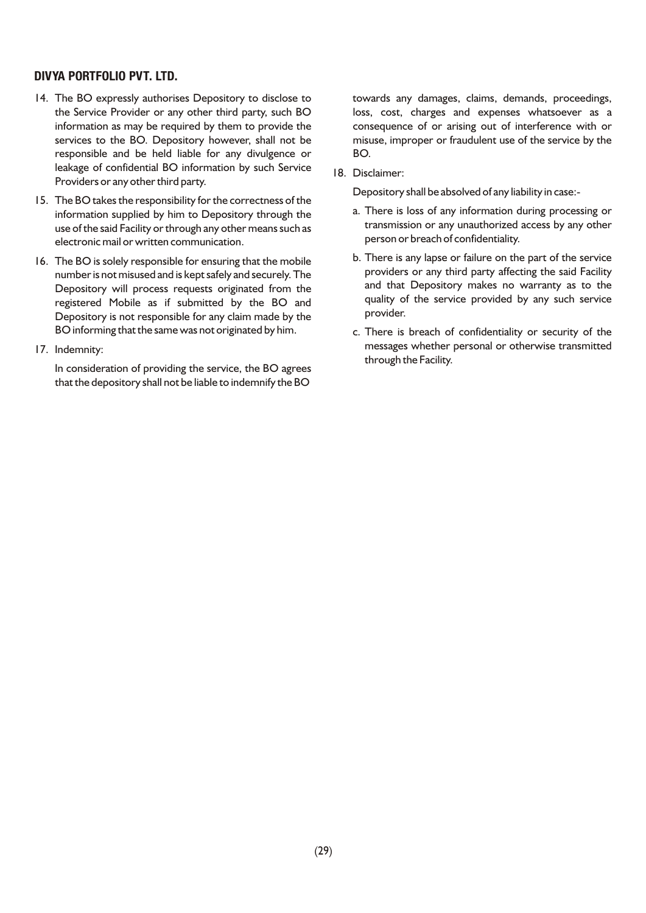- 14. The BO expressly authorises Depository to disclose to the Service Provider or any other third party, such BO information as may be required by them to provide the services to the BO. Depository however, shall not be responsible and be held liable for any divulgence or leakage of confidential BO information by such Service Providers or any other third party.
- 15. The BO takes the responsibility for the correctness of the information supplied by him to Depository through the use of the said Facility or through any other means such as electronic mail or written communication.
- 16. The BO is solely responsible for ensuring that the mobile number is not misused and is kept safely and securely. The Depository will process requests originated from the registered Mobile as if submitted by the BO and Depository is not responsible for any claim made by the BO informing that the same was not originated by him.
- 17. Indemnity:

In consideration of providing the service, the BO agrees that the depository shall not be liable to indemnify the BO

towards any damages, claims, demands, proceedings, loss, cost, charges and expenses whatsoever as a consequence of or arising out of interference with or misuse, improper or fraudulent use of the service by the BO.

18. Disclaimer:

Depository shall be absolved of any liability in case:-

- a. There is loss of any information during processing or transmission or any unauthorized access by any other person or breach of confidentiality.
- b. There is any lapse or failure on the part of the service providers or any third party affecting the said Facility and that Depository makes no warranty as to the quality of the service provided by any such service provider.
- c. There is breach of confidentiality or security of the messages whether personal or otherwise transmitted through the Facility.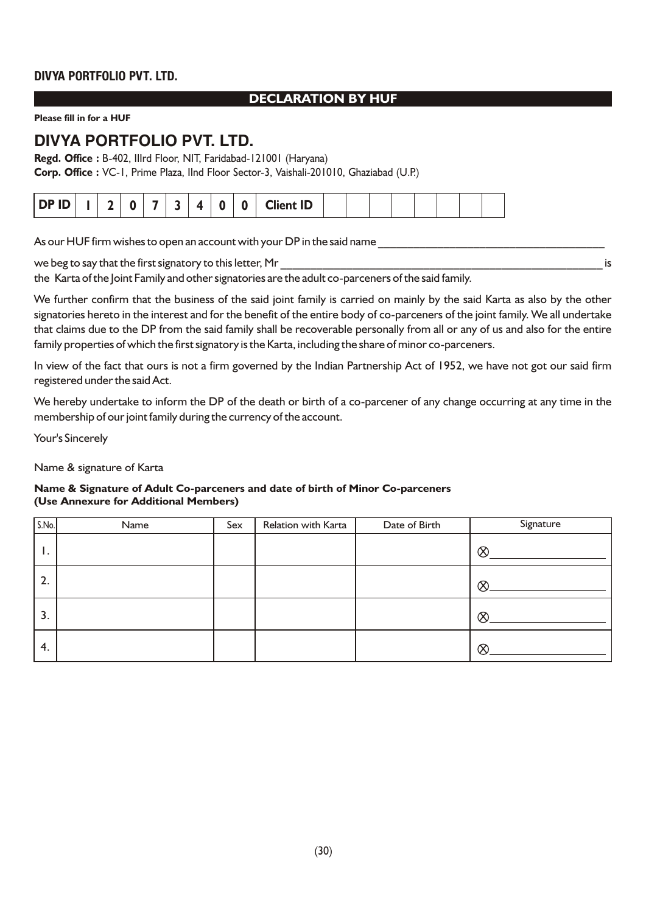# **DECLARATION BY HUF**

**Please fill in for a HUF**

# **DIVYA PORTFOLIO PVT. LTD.**

**Regd. Office :** B-402, IIIrd Floor, NIT, Faridabad-121001 (Haryana)

**Corp. Office :** VC-1, Prime Plaza, IInd Floor Sector-3, Vaishali-201010, Ghaziabad (U.P.)

As our HUF firm wishes to open an account with your DP in the said name

we beg to say that the first signatory to this letter, Mr  $\blacksquare$ 

the Karta of the Joint Family and other signatories are the adult co-parceners of the said family.

We further confirm that the business of the said joint family is carried on mainly by the said Karta as also by the other signatories hereto in the interest and for the benefit of the entire body of co-parceners of the joint family. We all undertake that claims due to the DP from the said family shall be recoverable personally from all or any of us and also for the entire family properties of which the first signatory is the Karta, including the share of minor co-parceners.

In view of the fact that ours is not a firm governed by the Indian Partnership Act of 1952, we have not got our said firm registered under the said Act.

We hereby undertake to inform the DP of the death or birth of a co-parcener of any change occurring at any time in the membership of our joint family during the currency of the account.

Your's Sincerely

Name & signature of Karta

#### **Name & Signature of Adult Co-parceners and date of birth of Minor Co-parceners (Use Annexure for Additional Members)**

| $ $ S.No. | Name | Sex | Relation with Karta | Date of Birth | Signature |
|-----------|------|-----|---------------------|---------------|-----------|
| Ι.        |      |     |                     |               | $\otimes$ |
| 2.        |      |     |                     |               | $\otimes$ |
| 3.        |      |     |                     |               | $\otimes$ |
| 4.        |      |     |                     |               | $\otimes$ |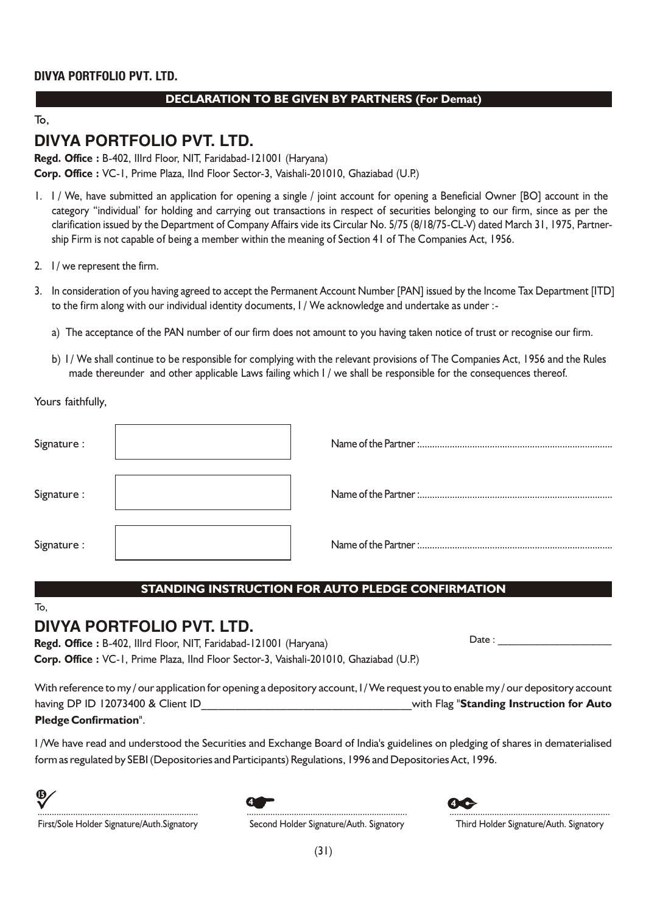#### **DECLARATION TO BE GIVEN BY PARTNERS (For Demat)**

#### To,

# **DIVYA PORTFOLIO PVT. LTD.**

**Regd. Office :** B-402, IIIrd Floor, NIT, Faridabad-121001 (Haryana) **Corp. Office :** VC-1, Prime Plaza, IInd Floor Sector-3, Vaishali-201010, Ghaziabad (U.P.)

- 1. I / We, have submitted an application for opening a single / joint account for opening a Beneficial Owner [BO] account in the category "individual' for holding and carrying out transactions in respect of securities belonging to our firm, since as per the clarification issued by the Department of Company Affairs vide its Circular No. 5/75 (8/18/75-CL-V) dated March 31, 1975, Partnership Firm is not capable of being a member within the meaning of Section 41 of The Companies Act, 1956.
- 2. I / we represent the firm.
- 3. In consideration of you having agreed to accept the Permanent Account Number [PAN] issued by the Income Tax Department [ITD] to the firm along with our individual identity documents, I / We acknowledge and undertake as under :
	- a) The acceptance of the PAN number of our firm does not amount to you having taken notice of trust or recognise our firm.
	- b) I / We shall continue to be responsible for complying with the relevant provisions of The Companies Act, 1956 and the Rules made thereunder and other applicable Laws failing which I / we shall be responsible for the consequences thereof.

Yours faithfully,

| Signature : |  |
|-------------|--|
| Signature : |  |
| Signature:  |  |

#### **STANDING INSTRUCTION FOR AUTO PLEDGE CONFIRMATION**

 $T_{\Omega}$ 

# **DIVYA PORTFOLIO PVT. LTD.**

**Regd. Office :** B-402, IIIrd Floor, NIT, Faridabad-121001 (Haryana) **Corp. Office :** VC-1, Prime Plaza, IInd Floor Sector-3, Vaishali-201010, Ghaziabad (U.P.)

With reference to my / our application for opening a depository account, I / We request you to enable my / our depository account having DP ID 12073400 & Client ID\_\_\_\_\_\_\_\_\_\_\_\_\_\_\_\_\_\_\_\_\_\_\_\_\_\_\_\_\_\_\_\_\_\_\_\_\_with Flag "**Standing Instruction for Auto Pledge Confirmation**".

I /We have read and understood the Securities and Exchange Board of India's guidelines on pledging of shares in dematerialised form as regulated by SEBI (Depositories and Participants) Regulations, 1996 and Depositories Act, 1996.



First/Sole Holder Signature/Auth.Signatory

....................................................................

Second Holder Signature/Auth. Signatory

**4 4** ....................................................................

Third Holder Signature/Auth. Signatory

....................................................................

Date :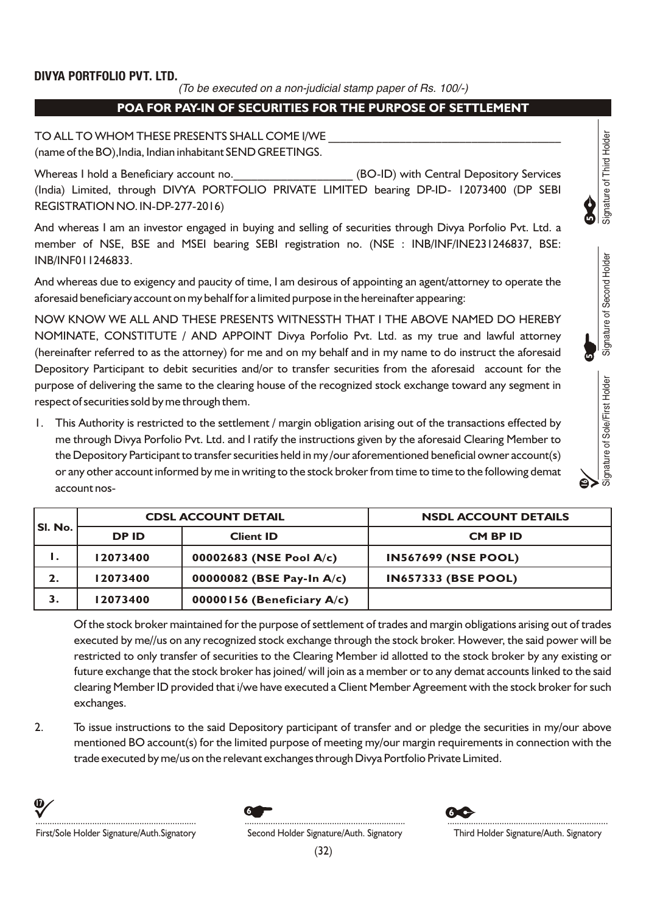*(To be executed on a non-judicial stamp paper of Rs. 100/-)*

# **POA FOR PAY-IN OF SECURITIES FOR THE PURPOSE OF SETTLEMENT**

TO ALL TO WHOM THESE PRESENTS SHALL COME I/WE (name of the BO),India, Indian inhabitant SEND GREETINGS.

Whereas I hold a Beneficiary account no. <br>
(BO-ID) with Central Depository Services (India) Limited, through DIVYA PORTFOLIO PRIVATE LIMITED bearing DP-ID- 12073400 (DP SEBI REGISTRATION NO. IN-DP-277-2016)

And whereas I am an investor engaged in buying and selling of securities through Divya Porfolio Pvt. Ltd. a member of NSE, BSE and MSEI bearing SEBI registration no. (NSE : INB/INF/INE231246837, BSE: INB/INF011246833.

And whereas due to exigency and paucity of time, I am desirous of appointing an agent/attorney to operate the aforesaid beneficiary account on my behalf for a limited purpose in the hereinafter appearing:

NOW KNOW WE ALL AND THESE PRESENTS WITNESSTH THAT I THE ABOVE NAMED DO HEREBY NOMINATE, CONSTITUTE / AND APPOINT Divya Porfolio Pvt. Ltd. as my true and lawful attorney (hereinafter referred to as the attorney) for me and on my behalf and in my name to do instruct the aforesaid Depository Participant to debit securities and/or to transfer securities from the aforesaid account for the purpose of delivering the same to the clearing house of the recognized stock exchange toward any segment in respect of securities sold by me through them.

1. This Authority is restricted to the settlement / margin obligation arising out of the transactions effected by me through Divya Porfolio Pvt. Ltd. and I ratify the instructions given by the aforesaid Clearing Member to the Depository Participant to transfer securities held in my /our aforementioned beneficial owner account(s) or any other account informed by me in writing to the stock broker from time to time to the following demat account nos-

| SI. No. |             | <b>CDSL ACCOUNT DETAIL</b>   | <b>NSDL ACCOUNT DETAILS</b> |  |  |  |
|---------|-------------|------------------------------|-----------------------------|--|--|--|
|         | <b>DPID</b> | <b>Client ID</b>             | <b>CM BP ID</b>             |  |  |  |
| .,      | 12073400    | 00002683 (NSE Pool A/c)      | <b>IN567699 (NSE POOL)</b>  |  |  |  |
| 2.      | 12073400    | 00000082 (BSE Pay-In A/c)    | <b>IN657333 (BSE POOL)</b>  |  |  |  |
| 3.      | 12073400    | $00000156$ (Beneficiary A/c) |                             |  |  |  |

Of the stock broker maintained for the purpose of settlement of trades and margin obligations arising out of trades executed by me//us on any recognized stock exchange through the stock broker. However, the said power will be restricted to only transfer of securities to the Clearing Member id allotted to the stock broker by any existing or future exchange that the stock broker has joined/ will join as a member or to any demat accounts linked to the said clearing Member ID provided that i/we have executed a Client Member Agreement with the stock broker for such exchanges.

2. To issue instructions to the said Depository participant of transfer and or pledge the securities in my/our above mentioned BO account(s) for the limited purpose of meeting my/our margin requirements in connection with the trade executed by me/us on the relevant exchanges through Divya Portfolio Private Limited.



.................................................................... Second Holder Signature/Auth. Signatory



Third Holder Signature/Auth. Signatory

Signature of Soletown Signature of Second Assements Holder Signature of Second Holder Signature of Third Holder

Signature of Second Holder

Signature of Sole/First Holder

Signature of Third Holder

**16**

**5**

5<br>5<br>52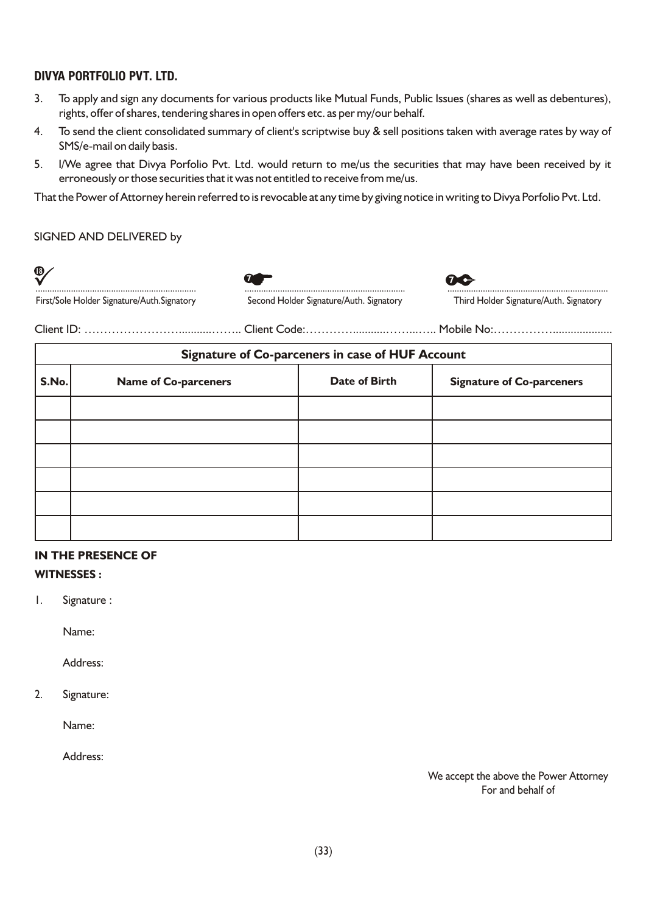- 3. To apply and sign any documents for various products like Mutual Funds, Public Issues (shares as well as debentures), rights, offer of shares, tendering shares in open offers etc. as per my/our behalf.
- 4. To send the client consolidated summary of client's scriptwise buy & sell positions taken with average rates by way of SMS/e-mail on daily basis.
- 5. I/We agree that Divya Porfolio Pvt. Ltd. would return to me/us the securities that may have been received by it erroneously or those securities that it was not entitled to receive from me/us.

That the Power of Attorney herein referred to is revocable at any time by giving notice in writing to Divya Porfolio Pvt. Ltd.

#### SIGNED AND DELIVERED by

r

.................................................................... First/Sole Holder Signature/Auth.Signatory







Third Holder Signature/Auth. Signatory

Client ID: …………………………………………………………… Client Code:…………………………………………………………………………………………

| Signature of Co-parceners in case of HUF Account |                             |                      |                                  |  |  |  |  |
|--------------------------------------------------|-----------------------------|----------------------|----------------------------------|--|--|--|--|
| S.No.                                            | <b>Name of Co-parceners</b> | <b>Date of Birth</b> | <b>Signature of Co-parceners</b> |  |  |  |  |
|                                                  |                             |                      |                                  |  |  |  |  |
|                                                  |                             |                      |                                  |  |  |  |  |
|                                                  |                             |                      |                                  |  |  |  |  |
|                                                  |                             |                      |                                  |  |  |  |  |
|                                                  |                             |                      |                                  |  |  |  |  |
|                                                  |                             |                      |                                  |  |  |  |  |

# **WITNESSES : IN THE PRESENCE OF**

Signature : 1.

Name:

Address:

Signature: 2.

Name:

Address:

We accept the above the Power Attorney For and behalf of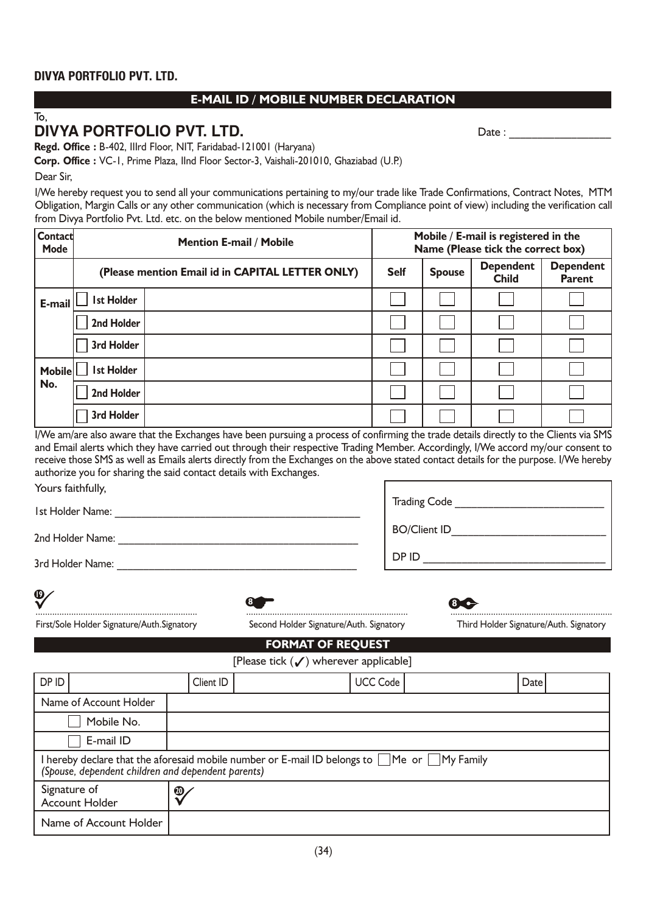## **E-MAIL ID / MOBILE NUMBER DECLARATION**

#### $T_0$

**DIVYA PORTFOLIO PVT. LTD.**

Date : \_\_\_\_\_\_\_\_\_\_\_\_\_\_\_\_\_\_

**Regd. Office :** B-402, IIIrd Floor, NIT, Faridabad-121001 (Haryana)

**Corp. Office :** VC-1, Prime Plaza, IInd Floor Sector-3, Vaishali-201010, Ghaziabad (U.P.)

Dear Sir,

I/We hereby request you to send all your communications pertaining to my/our trade like Trade Confirmations, Contract Notes, MTM Obligation, Margin Calls or any other communication (which is necessary from Compliance point of view) including the verification call from Divya Portfolio Pvt. Ltd. etc. on the below mentioned Mobile number/Email id.

| <b>Contact</b><br>Mode |                   | <b>Mention E-mail / Mobile</b>                   | Mobile / E-mail is registered in the<br>Name (Please tick the correct box) |               |                                  |                                   |  |  |  |
|------------------------|-------------------|--------------------------------------------------|----------------------------------------------------------------------------|---------------|----------------------------------|-----------------------------------|--|--|--|
|                        |                   | (Please mention Email id in CAPITAL LETTER ONLY) | <b>Self</b>                                                                | <b>Spouse</b> | <b>Dependent</b><br><b>Child</b> | <b>Dependent</b><br><b>Parent</b> |  |  |  |
| $E$ -mail              | <b>Ist Holder</b> |                                                  |                                                                            |               |                                  |                                   |  |  |  |
|                        | 2nd Holder        |                                                  |                                                                            |               |                                  |                                   |  |  |  |
|                        | 3rd Holder        |                                                  |                                                                            |               |                                  |                                   |  |  |  |
| Mobile                 | <b>Ist Holder</b> |                                                  |                                                                            |               |                                  |                                   |  |  |  |
| No.                    | 2nd Holder        |                                                  |                                                                            |               |                                  |                                   |  |  |  |
|                        | 3rd Holder        |                                                  |                                                                            |               |                                  |                                   |  |  |  |

I/We am/are also aware that the Exchanges have been pursuing a process of confirming the trade details directly to the Clients via SMS and Email alerts which they have carried out through their respective Trading Member. Accordingly, I/We accord my/our consent to receive those SMS as well as Emails alerts directly from the Exchanges on the above stated contact details for the purpose. I/We hereby authorize you for sharing the said contact details with Exchanges.

| Yours faithfully, |                     |
|-------------------|---------------------|
| Ist Holder Name:  | <b>Trading Code</b> |
| 2nd Holder Name:  | <b>BO/Client ID</b> |
| 3rd Holder Name:  | DP ID               |

.................................................................... Second Holder Signature/Auth. Signatory

**8 8**

....................................................................

.................................................................... First/Sole Holder Signature/Auth.Signatory

Third Holder Signature/Auth. Signatory

**FORMAT OF REQUEST**

| [Please tick $(\checkmark)$ wherever applicable]                                                                                                              |                                             |           |  |                 |  |      |  |
|---------------------------------------------------------------------------------------------------------------------------------------------------------------|---------------------------------------------|-----------|--|-----------------|--|------|--|
| DP ID                                                                                                                                                         |                                             | Client ID |  | <b>UCC Code</b> |  | Date |  |
| Name of Account Holder                                                                                                                                        |                                             |           |  |                 |  |      |  |
|                                                                                                                                                               | Mobile No.                                  |           |  |                 |  |      |  |
| E-mail ID                                                                                                                                                     |                                             |           |  |                 |  |      |  |
| I hereby declare that the aforesaid mobile number or E-mail ID belongs to $\Box$ Me or $\Box$ My Family<br>(Spouse, dependent children and dependent parents) |                                             |           |  |                 |  |      |  |
|                                                                                                                                                               | Signature of<br>⑩,<br><b>Account Holder</b> |           |  |                 |  |      |  |
| Name of Account Holder                                                                                                                                        |                                             |           |  |                 |  |      |  |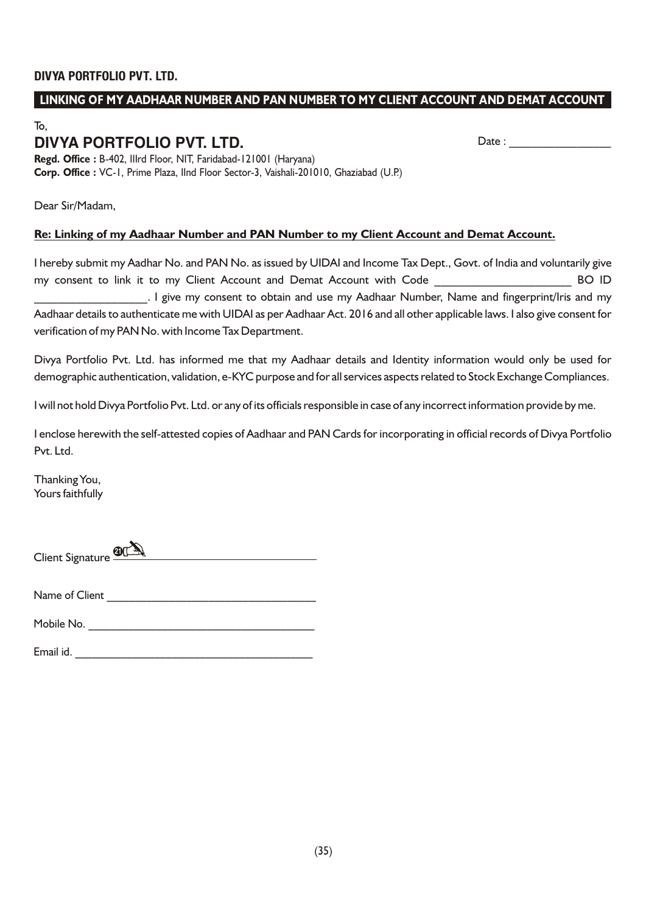# **LINKING OF MY AADHAAR NUMBER AND PAN NUMBER TO MY CLIENT ACCOUNT AND DEMAT ACCOUNT**

To,

# **DIVYA PORTFOLIO PVT. LTD.**  $\qquad \qquad$  Date :

**Regd. Office :** B-402, IIIrd Floor, NIT, Faridabad-121001 (Haryana) **Corp. Office :** VC-1, Prime Plaza, IInd Floor Sector-3, Vaishali-201010, Ghaziabad (U.P.)

Dear Sir/Madam,

#### **Re: Linking of my Aadhaar Number and PAN Number to my Client Account and Demat Account.**

I hereby submit my Aadhar No. and PAN No. as issued by UIDAI and Income Tax Dept., Govt. of India and voluntarily give my consent to link it to my Client Account and Demat Account with Code **Example 20 BO ID** \_\_\_\_\_\_\_\_\_\_\_\_\_\_\_\_\_\_\_. I give my consent to obtain and use my Aadhaar Number, Name and fingerprint/Iris and my Aadhaar details to authenticate me with UIDAI as per Aadhaar Act. 2016 and all other applicable laws. I also give consent for verification of my PAN No. with Income Tax Department.

Divya Portfolio Pvt. Ltd. has informed me that my Aadhaar details and Identity information would only be used for demographic authentication, validation, e-KYC purpose and for all services aspects related to Stock Exchange Compliances.

I will not hold Divya Portfolio Pvt. Ltd. or any of its officials responsible in case of any incorrect information provide by me.

I enclose herewith the self-attested copies of Aadhaar and PAN Cards for incorporating in official records of Divya Portfolio Pvt. Ltd.

Thanking You, Yours faithfully

| Client Signature |  |
|------------------|--|
|                  |  |

Name of Client **Exercise 20** 

Mobile No.

Email id.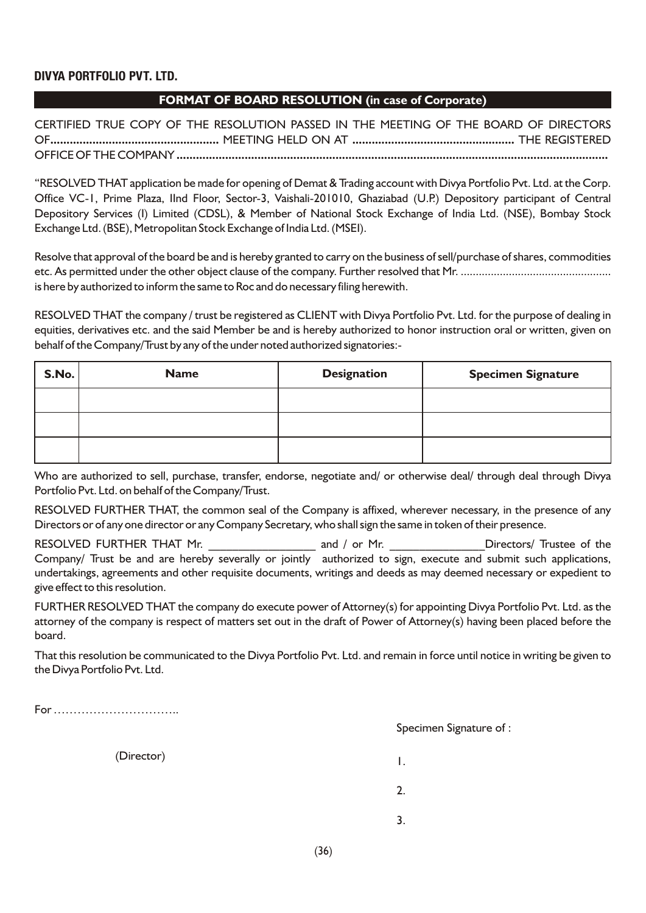#### **FORMAT OF BOARD RESOLUTION (in case of Corporate)**

CERTIFIED TRUE COPY OF THE RESOLUTION PASSED IN THE MEETING OF THE BOARD OF DIRECTORS OF**....................................................** MEETING HELD ON AT **..................................................** THE REGISTERED OFFICE OF THE COMPANY **.....................................................................................................................................**

"RESOLVED THAT application be made for opening of Demat & Trading account with Divya Portfolio Pvt. Ltd. at the Corp. Office VC-1, Prime Plaza, IInd Floor, Sector-3, Vaishali-201010, Ghaziabad (U.P.) Depository participant of Central Depository Services (I) Limited (CDSL), & Member of National Stock Exchange of India Ltd. (NSE), Bombay Stock Exchange Ltd. (BSE), Metropolitan Stock Exchange of India Ltd. (MSEI).

Resolve that approval of the board be and is hereby granted to carry on the business of sell/purchase of shares, commodities etc. As permitted under the other object clause of the company. Further resolved that Mr. .................................................. is here by authorized to inform the same to Roc and do necessary filing herewith.

RESOLVED THAT the company / trust be registered as CLIENT with Divya Portfolio Pvt. Ltd. for the purpose of dealing in equities, derivatives etc. and the said Member be and is hereby authorized to honor instruction oral or written, given on behalf of the Company/Trust by any of the under noted authorized signatories:-

| S.No. | <b>Name</b> | <b>Designation</b> | <b>Specimen Signature</b> |
|-------|-------------|--------------------|---------------------------|
|       |             |                    |                           |
|       |             |                    |                           |
|       |             |                    |                           |

Who are authorized to sell, purchase, transfer, endorse, negotiate and/ or otherwise deal/ through deal through Divya Portfolio Pvt. Ltd. on behalf of the Company/Trust.

RESOLVED FURTHER THAT, the common seal of the Company is affixed, wherever necessary, in the presence of any Directors or of any one director or any Company Secretary, who shall sign the same in token of their presence.

RESOLVED FURTHER THAT Mr.  $\qquad \qquad$  and / or Mr.  $\qquad \qquad$  Directors/ Trustee of the Company/ Trust be and are hereby severally or jointly authorized to sign, execute and submit such applications, undertakings, agreements and other requisite documents, writings and deeds as may deemed necessary or expedient to give effect to this resolution.

FURTHER RESOLVED THAT the company do execute power of Attorney(s) for appointing Divya Portfolio Pvt. Ltd. as the attorney of the company is respect of matters set out in the draft of Power of Attorney(s) having been placed before the board.

That this resolution be communicated to the Divya Portfolio Pvt. Ltd. and remain in force until notice in writing be given to the Divya Portfolio Pvt. Ltd.

For …………………………..

Specimen Signature of :

(Director)

1.

2.

3.

(36)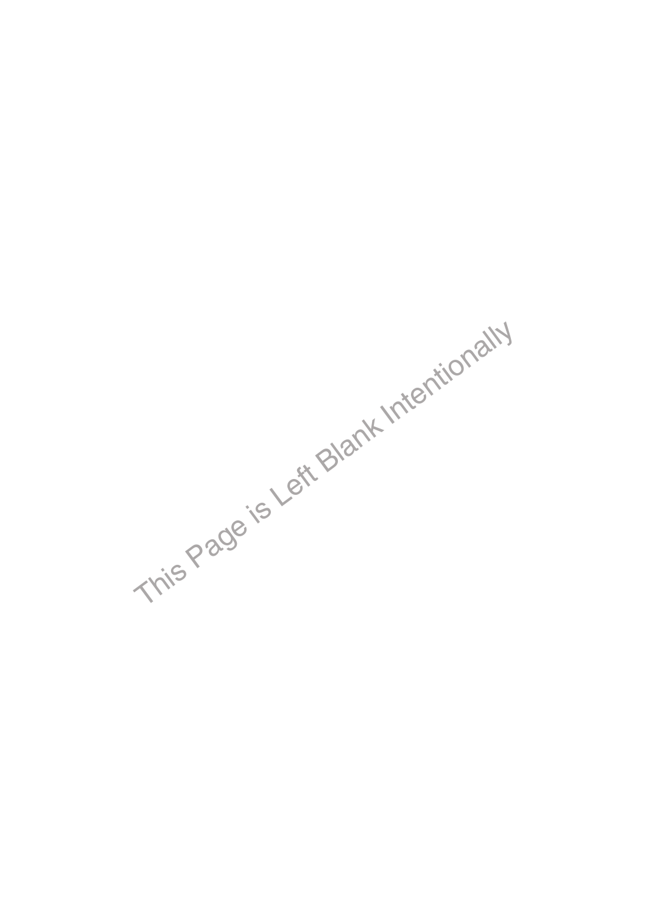This Page is Left Blank Intentionally  $\lambda$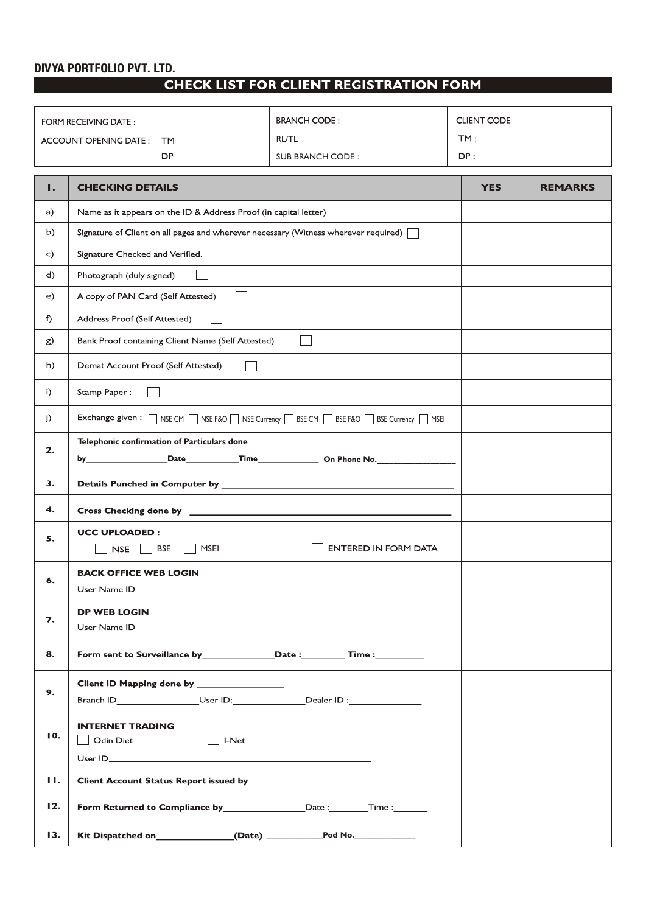|              | FORM RECEIVING DATE:                                                                                                            | <b>BRANCH CODE:</b>  | <b>CLIENT CODE</b> |  |  |
|--------------|---------------------------------------------------------------------------------------------------------------------------------|----------------------|--------------------|--|--|
|              | ACCOUNT OPENING DATE:<br>TM.                                                                                                    | RL/TL                | TM:                |  |  |
|              | <b>DP</b>                                                                                                                       | DP:                  |                    |  |  |
| Ι.           | <b>CHECKING DETAILS</b>                                                                                                         | <b>YES</b>           | <b>REMARKS</b>     |  |  |
| a)           | Name as it appears on the ID & Address Proof (in capital letter)                                                                |                      |                    |  |  |
| b)           | Signature of Client on all pages and wherever necessary (Witness wherever required) $\Box$                                      |                      |                    |  |  |
| $\mathsf{c}$ | Signature Checked and Verified.                                                                                                 |                      |                    |  |  |
| d)           | Photograph (duly signed)                                                                                                        |                      |                    |  |  |
| e)           | A copy of PAN Card (Self Attested)<br>$\mathbf{I}$                                                                              |                      |                    |  |  |
| f            | Address Proof (Self Attested)                                                                                                   |                      |                    |  |  |
| g)           | Bank Proof containing Client Name (Self Attested)                                                                               |                      |                    |  |  |
| h)           | Demat Account Proof (Self Attested)                                                                                             |                      |                    |  |  |
| i)           | Stamp Paper:                                                                                                                    |                      |                    |  |  |
| j)           | Exchange given: NSE CM NSE F&O NSE Currency BSE CM SE F&O SE Currency NSEI                                                      |                      |                    |  |  |
| 2.           | Telephonic confirmation of Particulars done<br>by Date Date Time On Phone No.                                                   |                      |                    |  |  |
| З.           |                                                                                                                                 |                      |                    |  |  |
| 4.           |                                                                                                                                 |                      |                    |  |  |
| 5.           | <b>UCC UPLOADED:</b><br><b>NSE</b><br>BSE<br>MSEI                                                                               | ENTERED IN FORM DATA |                    |  |  |
| 6.           | <b>BACK OFFICE WEB LOGIN</b><br>User Name ID_                                                                                   |                      |                    |  |  |
| 7.           | <b>DP WEB LOGIN</b>                                                                                                             |                      |                    |  |  |
| 8.           |                                                                                                                                 |                      |                    |  |  |
| 9.           | Client ID Mapping done by _________________<br>Branch ID_________________User ID:_________________Dealer ID :__________________ |                      |                    |  |  |
| 10.          | <b>INTERNET TRADING</b><br>I-Net<br>Odin Diet                                                                                   |                      |                    |  |  |
| 11.          | <b>Client Account Status Report issued by</b>                                                                                   |                      |                    |  |  |
| 12.          |                                                                                                                                 |                      |                    |  |  |
| 13.          | Kit Dispatched on ________________(Date) ______________Pod No.__________________                                                |                      |                    |  |  |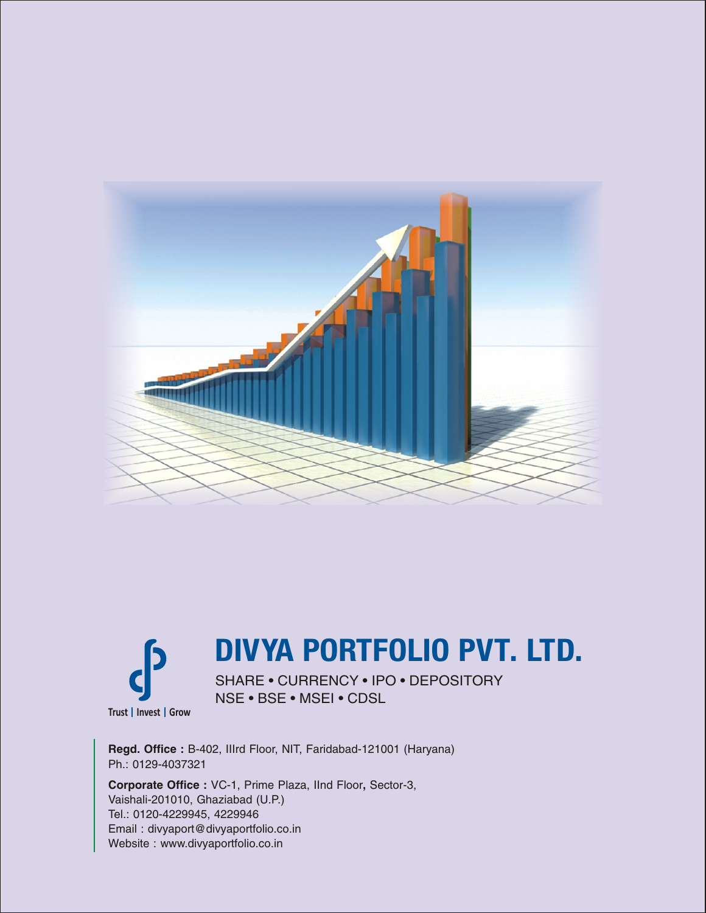



SHARE • CURRENCY • IPO • DEPOSITORY NSE • BSE • MSEI • CDSL

**Trust Invest Grow**

**Regd. Office :** B-402, IIIrd Floor, NIT, Faridabad-121001 (Haryana) Ph.: 0129-4037321

**Corporate Office :** VC-1, Prime Plaza, IInd Floor**,** Sector-3, Vaishali-201010, Ghaziabad (U.P.) Tel.: 0120-4229945, 4229946 Email : divyaport@divyaportfolio.co.in Website : www.divyaportfolio.co.in